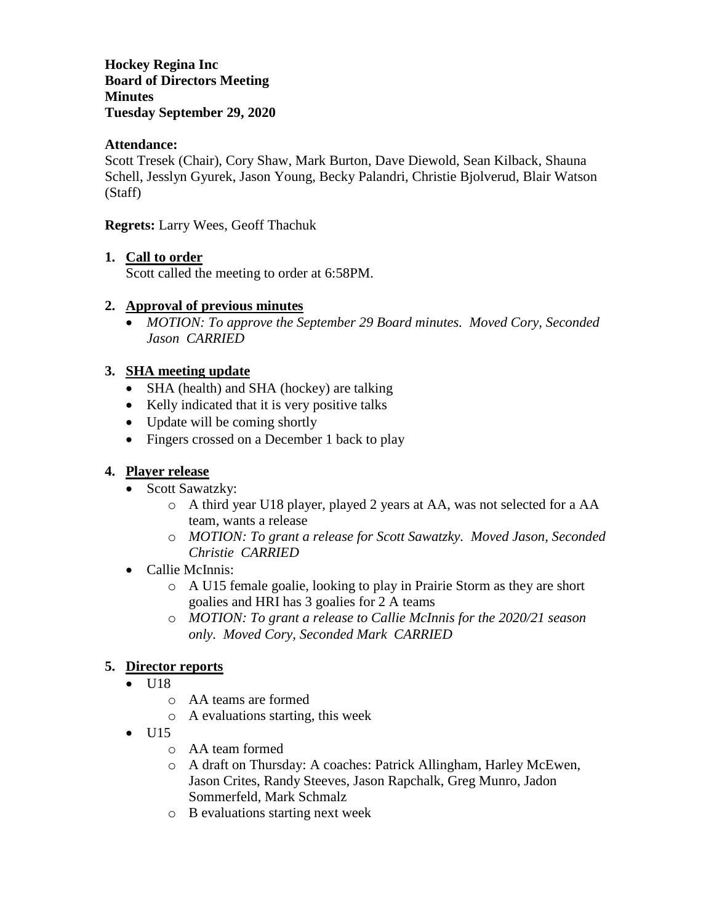**Hockey Regina Inc Board of Directors Meeting Minutes Tuesday September 29, 2020**

### **Attendance:**

Scott Tresek (Chair), Cory Shaw, Mark Burton, Dave Diewold, Sean Kilback, Shauna Schell, Jesslyn Gyurek, Jason Young, Becky Palandri, Christie Bjolverud, Blair Watson (Staff)

**Regrets:** Larry Wees, Geoff Thachuk

## **1. Call to order**

Scott called the meeting to order at 6:58PM.

#### **2. Approval of previous minutes**

 *MOTION: To approve the September 29 Board minutes. Moved Cory, Seconded Jason CARRIED*

#### **3. SHA meeting update**

- SHA (health) and SHA (hockey) are talking
- Kelly indicated that it is very positive talks
- Update will be coming shortly
- Fingers crossed on a December 1 back to play

## **4. Player release**

- Scott Sawatzky:
	- o A third year U18 player, played 2 years at AA, was not selected for a AA team, wants a release
	- o *MOTION: To grant a release for Scott Sawatzky. Moved Jason, Seconded Christie CARRIED*
- Callie McInnis:
	- o A U15 female goalie, looking to play in Prairie Storm as they are short goalies and HRI has 3 goalies for 2 A teams
	- o *MOTION: To grant a release to Callie McInnis for the 2020/21 season only. Moved Cory, Seconded Mark CARRIED*

## **5. Director reports**

- $\bullet$  U18
	- o AA teams are formed
	- o A evaluations starting, this week
- $\bullet$  U15
	- o AA team formed
	- o A draft on Thursday: A coaches: Patrick Allingham, Harley McEwen, Jason Crites, Randy Steeves, Jason Rapchalk, Greg Munro, Jadon Sommerfeld, Mark Schmalz
	- o B evaluations starting next week